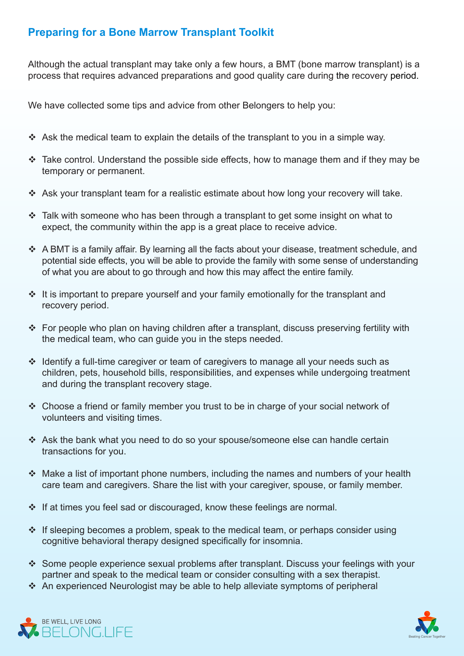## **Preparing for a Bone Marrow Transplant Toolkit**

Although the actual transplant may take only a few hours, a BMT (bone marrow transplant) is a process that requires advanced preparations and good quality care during the recovery period.

We have collected some tips and advice from other Belongers to help you:

- $\triangleleft$  Ask the medical team to explain the details of the transplant to you in a simple way.
- $\div$  Take control. Understand the possible side effects, how to manage them and if they may be temporary or permanent.
- $\cdot$  Ask your transplant team for a realistic estimate about how long your recovery will take.
- $\cdot$  Talk with someone who has been through a transplant to get some insight on what to expect, the community within the app is a great place to receive advice.
- $\div$  A BMT is a family affair. By learning all the facts about your disease, treatment schedule, and potential side effects, you will be able to provide the family with some sense of understanding of what you are about to go through and how this may affect the entire family.
- $\cdot$  It is important to prepare vourself and your family emotionally for the transplant and recovery period.
- For people who plan on having children after a transplant, discuss preserving fertility with the medical team, who can quide you in the steps needed.
- $\cdot$  Identify a full-time caregiver or team of caregivers to manage all your needs such as children, pets, household bills, responsibilities, and expenses while undergoing treatment and during the transplant recovery stage.
- $\cdot$  Choose a friend or family member you trust to be in charge of your social network of volunteers and visiting times.
- $\cdot$  Ask the bank what you need to do so your spouse/someone else can handle certain transactions for you.
- $\cdot$  Make a list of important phone numbers, including the names and numbers of your health care team and caregivers. Share the list with your caregiver, spouse, or family member.
- $\cdot$  If at times vou feel sad or discouraged, know these feelings are normal.
- $\cdot$  If sleeping becomes a problem, speak to the medical team, or perhaps consider using cognitive behavioral therapy designed specifically for insomnia.
- Some people experience sexual problems after transplant. Discuss your feelings with your partner and speak to the medical team or consider consulting with a sex therapist.
- \* An experienced Neurologist may be able to help alleviate symptoms of peripheral